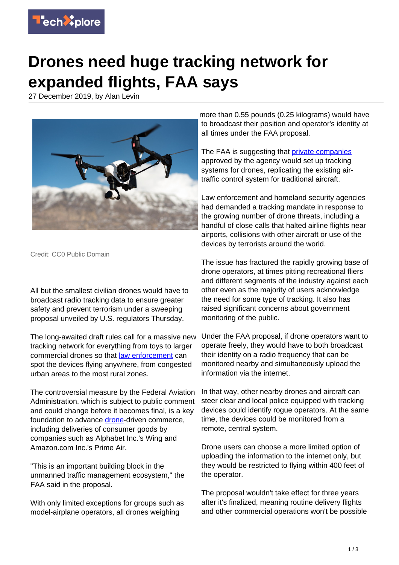

## **Drones need huge tracking network for expanded flights, FAA says**

27 December 2019, by Alan Levin



Credit: CC0 Public Domain

All but the smallest civilian drones would have to broadcast radio tracking data to ensure greater safety and prevent terrorism under a sweeping proposal unveiled by U.S. regulators Thursday.

The long-awaited draft rules call for a massive new tracking network for everything from toys to larger commercial drones so that [law enforcement](https://techxplore.com/tags/law+enforcement/) can spot the devices flying anywhere, from congested urban areas to the most rural zones.

The controversial measure by the Federal Aviation Administration, which is subject to public comment and could change before it becomes final, is a key foundation to advance [drone-](https://techxplore.com/tags/drone/)driven commerce, including deliveries of consumer goods by companies such as Alphabet Inc.'s Wing and Amazon.com Inc.'s Prime Air.

"This is an important building block in the unmanned traffic management ecosystem," the FAA said in the proposal.

With only limited exceptions for groups such as model-airplane operators, all drones weighing

more than 0.55 pounds (0.25 kilograms) would have to broadcast their position and operator's identity at all times under the FAA proposal.

The FAA is suggesting that *[private companies](https://techxplore.com/tags/private+companies/)* approved by the agency would set up tracking systems for drones, replicating the existing airtraffic control system for traditional aircraft.

Law enforcement and homeland security agencies had demanded a tracking mandate in response to the growing number of drone threats, including a handful of close calls that halted airline flights near airports, collisions with other aircraft or use of the devices by terrorists around the world.

The issue has fractured the rapidly growing base of drone operators, at times pitting recreational fliers and different segments of the industry against each other even as the majority of users acknowledge the need for some type of tracking. It also has raised significant concerns about government monitoring of the public.

Under the FAA proposal, if drone operators want to operate freely, they would have to both broadcast their identity on a radio frequency that can be monitored nearby and simultaneously upload the information via the internet.

In that way, other nearby drones and aircraft can steer clear and local police equipped with tracking devices could identify rogue operators. At the same time, the devices could be monitored from a remote, central system.

Drone users can choose a more limited option of uploading the information to the internet only, but they would be restricted to flying within 400 feet of the operator.

The proposal wouldn't take effect for three years after it's finalized, meaning routine delivery flights and other commercial operations won't be possible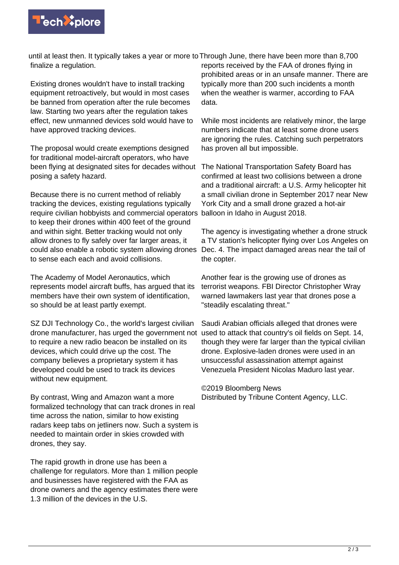

until at least then. It typically takes a year or more to Through June, there have been more than 8,700 finalize a regulation.

Existing drones wouldn't have to install tracking equipment retroactively, but would in most cases be banned from operation after the rule becomes law. Starting two years after the regulation takes effect, new unmanned devices sold would have to have approved tracking devices.

The proposal would create exemptions designed for traditional model-aircraft operators, who have been flying at designated sites for decades without posing a safety hazard.

Because there is no current method of reliably tracking the devices, existing regulations typically require civilian hobbyists and commercial operators balloon in Idaho in August 2018. to keep their drones within 400 feet of the ground and within sight. Better tracking would not only allow drones to fly safely over far larger areas, it could also enable a robotic system allowing drones to sense each each and avoid collisions.

The Academy of Model Aeronautics, which represents model aircraft buffs, has argued that its members have their own system of identification, so should be at least partly exempt.

SZ DJI Technology Co., the world's largest civilian drone manufacturer, has urged the government not to require a new radio beacon be installed on its devices, which could drive up the cost. The company believes a proprietary system it has developed could be used to track its devices without new equipment.

By contrast, Wing and Amazon want a more formalized technology that can track drones in real time across the nation, similar to how existing radars keep tabs on jetliners now. Such a system is needed to maintain order in skies crowded with drones, they say.

The rapid growth in drone use has been a challenge for regulators. More than 1 million people and businesses have registered with the FAA as drone owners and the agency estimates there were 1.3 million of the devices in the U.S.

reports received by the FAA of drones flying in prohibited areas or in an unsafe manner. There are typically more than 200 such incidents a month when the weather is warmer, according to FAA data.

While most incidents are relatively minor, the large numbers indicate that at least some drone users are ignoring the rules. Catching such perpetrators has proven all but impossible.

The National Transportation Safety Board has confirmed at least two collisions between a drone and a traditional aircraft: a U.S. Army helicopter hit a small civilian drone in September 2017 near New York City and a small drone grazed a hot-air

The agency is investigating whether a drone struck a TV station's helicopter flying over Los Angeles on Dec. 4. The impact damaged areas near the tail of the copter.

Another fear is the growing use of drones as terrorist weapons. FBI Director Christopher Wray warned lawmakers last year that drones pose a "steadily escalating threat."

Saudi Arabian officials alleged that drones were used to attack that country's oil fields on Sept. 14, though they were far larger than the typical civilian drone. Explosive-laden drones were used in an unsuccessful assassination attempt against Venezuela President Nicolas Maduro last year.

©2019 Bloomberg News Distributed by Tribune Content Agency, LLC.